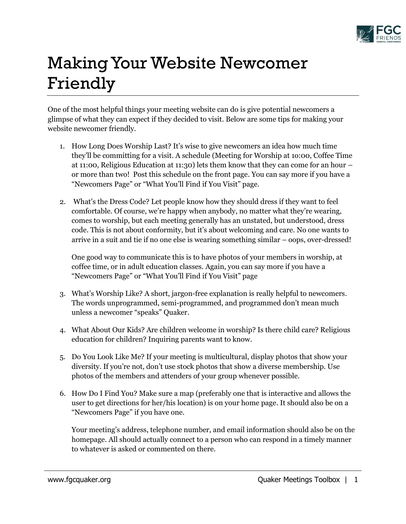

## Making Your Website Newcomer Friendly

One of the most helpful things your meeting website can do is give potential newcomers a glimpse of what they can expect if they decided to visit. Below are some tips for making your website newcomer friendly.

- 1. How Long Does Worship Last? It's wise to give newcomers an idea how much time they'll be committing for a visit. A schedule (Meeting for Worship at 1o:00, Coffee Time at 11:00, Religious Education at 11:30) lets them know that they can come for an hour – or more than two! Post this schedule on the front page. You can say more if you have a "Newcomers Page" or "What You'll Find if You Visit" page.
- 2. What's the Dress Code? Let people know how they should dress if they want to feel comfortable. Of course, we're happy when anybody, no matter what they're wearing, comes to worship, but each meeting generally has an unstated, but understood, dress code. This is not about conformity, but it's about welcoming and care. No one wants to arrive in a suit and tie if no one else is wearing something similar – oops, over-dressed!

One good way to communicate this is to have photos of your members in worship, at coffee time, or in adult education classes. Again, you can say more if you have a "Newcomers Page" or "What You'll Find if You Visit" page

- 3. What's Worship Like? A short, jargon-free explanation is really helpful to newcomers. The words unprogrammed, semi-programmed, and programmed don't mean much unless a newcomer "speaks" Quaker.
- 4. What About Our Kids? Are children welcome in worship? Is there child care? Religious education for children? Inquiring parents want to know.
- 5. Do You Look Like Me? If your meeting is multicultural, display photos that show your diversity. If you're not, don't use stock photos that show a diverse membership. Use photos of the members and attenders of your group whenever possible.
- 6. How Do I Find You? Make sure a map (preferably one that is interactive and allows the user to get directions for her/his location) is on your home page. It should also be on a "Newcomers Page" if you have one.

Your meeting's address, telephone number, and email information should also be on the homepage. All should actually connect to a person who can respond in a timely manner to whatever is asked or commented on there.